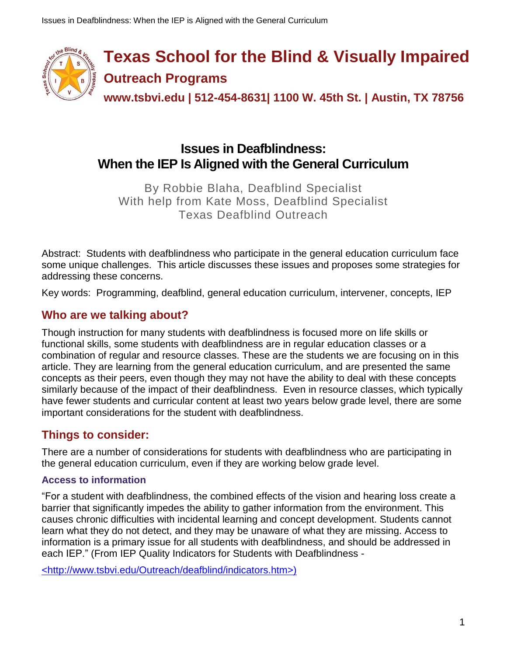

**Texas School for the Blind & Visually Impaired Outreach Programs**

**www.tsbvi.edu | 512-454-8631| 1100 W. 45th St. | Austin, TX 78756**

# **Issues in Deafblindness: When the IEP Is Aligned with the General Curriculum**

By Robbie Blaha, Deafblind Specialist With help from Kate Moss, Deafblind Specialist Texas Deafblind Outreach

Abstract: Students with deafblindness who participate in the general education curriculum face some unique challenges. This article discusses these issues and proposes some strategies for addressing these concerns.

Key words: Programming, deafblind, general education curriculum, intervener, concepts, IEP

# **Who are we talking about?**

Though instruction for many students with deafblindness is focused more on life skills or functional skills, some students with deafblindness are in regular education classes or a combination of regular and resource classes. These are the students we are focusing on in this article. They are learning from the general education curriculum, and are presented the same concepts as their peers, even though they may not have the ability to deal with these concepts similarly because of the impact of their deafblindness. Even in resource classes, which typically have fewer students and curricular content at least two years below grade level, there are some important considerations for the student with deafblindness.

# **Things to consider:**

There are a number of considerations for students with deafblindness who are participating in the general education curriculum, even if they are working below grade level.

## **Access to information**

"For a student with deafblindness, the combined effects of the vision and hearing loss create a barrier that significantly impedes the ability to gather information from the environment. This causes chronic difficulties with incidental learning and concept development. Students cannot learn what they do not detect, and they may be unaware of what they are missing. Access to information is a primary issue for all students with deafblindness, and should be addressed in each IEP." (From IEP Quality Indicators for Students with Deafblindness -

[<http://www.tsbvi.edu/Outreach/deafblind/indicators.htm>\)](http://www.tsbvi.edu/Outreach/deafblind/indicators.htm)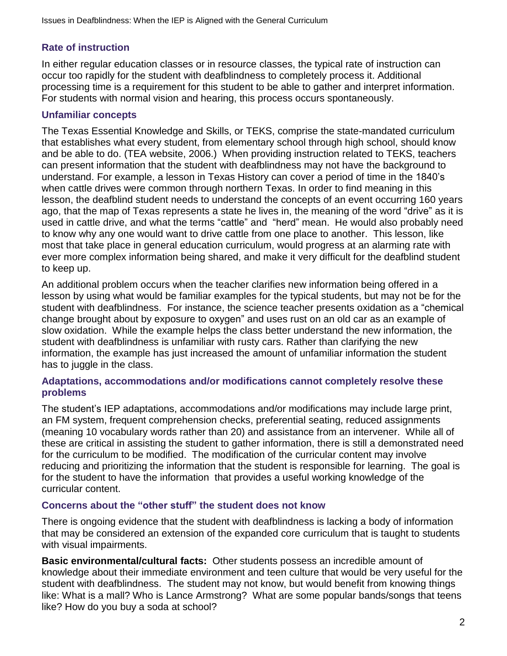## **Rate of instruction**

In either regular education classes or in resource classes, the typical rate of instruction can occur too rapidly for the student with deafblindness to completely process it. Additional processing time is a requirement for this student to be able to gather and interpret information. For students with normal vision and hearing, this process occurs spontaneously.

### **Unfamiliar concepts**

The Texas Essential Knowledge and Skills, or TEKS, comprise the state-mandated curriculum that establishes what every student, from elementary school through high school, should know and be able to do. (TEA website, 2006.) When providing instruction related to TEKS, teachers can present information that the student with deafblindness may not have the background to understand. For example, a lesson in Texas History can cover a period of time in the 1840's when cattle drives were common through northern Texas. In order to find meaning in this lesson, the deafblind student needs to understand the concepts of an event occurring 160 years ago, that the map of Texas represents a state he lives in, the meaning of the word "drive" as it is used in cattle drive, and what the terms "cattle" and "herd" mean. He would also probably need to know why any one would want to drive cattle from one place to another. This lesson, like most that take place in general education curriculum, would progress at an alarming rate with ever more complex information being shared, and make it very difficult for the deafblind student to keep up.

An additional problem occurs when the teacher clarifies new information being offered in a lesson by using what would be familiar examples for the typical students, but may not be for the student with deafblindness. For instance, the science teacher presents oxidation as a "chemical change brought about by exposure to oxygen" and uses rust on an old car as an example of slow oxidation. While the example helps the class better understand the new information, the student with deafblindness is unfamiliar with rusty cars. Rather than clarifying the new information, the example has just increased the amount of unfamiliar information the student has to juggle in the class.

#### **Adaptations, accommodations and/or modifications cannot completely resolve these problems**

The student's IEP adaptations, accommodations and/or modifications may include large print, an FM system, frequent comprehension checks, preferential seating, reduced assignments (meaning 10 vocabulary words rather than 20) and assistance from an intervener. While all of these are critical in assisting the student to gather information, there is still a demonstrated need for the curriculum to be modified. The modification of the curricular content may involve reducing and prioritizing the information that the student is responsible for learning. The goal is for the student to have the information that provides a useful working knowledge of the curricular content.

#### **Concerns about the "other stuff" the student does not know**

There is ongoing evidence that the student with deafblindness is lacking a body of information that may be considered an extension of the expanded core curriculum that is taught to students with visual impairments.

**Basic environmental/cultural facts:** Other students possess an incredible amount of knowledge about their immediate environment and teen culture that would be very useful for the student with deafblindness. The student may not know, but would benefit from knowing things like: What is a mall? Who is Lance Armstrong? What are some popular bands/songs that teens like? How do you buy a soda at school?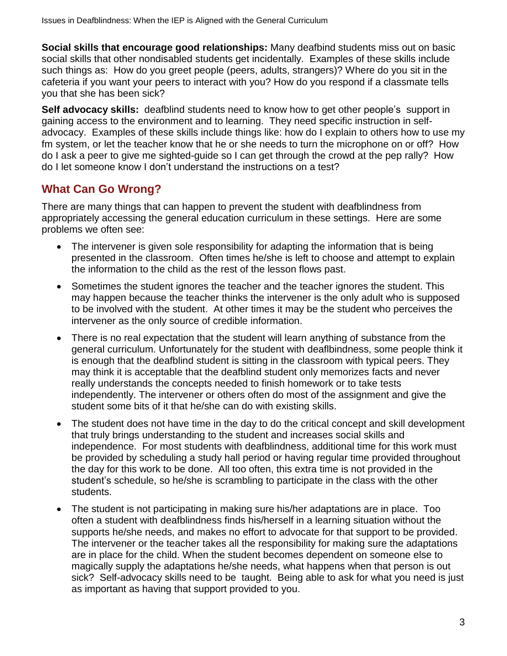**Social skills that encourage good relationships:** Many deafbind students miss out on basic social skills that other nondisabled students get incidentally. Examples of these skills include such things as: How do you greet people (peers, adults, strangers)? Where do you sit in the cafeteria if you want your peers to interact with you? How do you respond if a classmate tells you that she has been sick?

**Self advocacy skills:** deafblind students need to know how to get other people's support in gaining access to the environment and to learning. They need specific instruction in selfadvocacy. Examples of these skills include things like: how do I explain to others how to use my fm system, or let the teacher know that he or she needs to turn the microphone on or off? How do I ask a peer to give me sighted-guide so I can get through the crowd at the pep rally? How do I let someone know I don't understand the instructions on a test?

# **What Can Go Wrong?**

There are many things that can happen to prevent the student with deafblindness from appropriately accessing the general education curriculum in these settings. Here are some problems we often see:

- The intervener is given sole responsibility for adapting the information that is being presented in the classroom. Often times he/she is left to choose and attempt to explain the information to the child as the rest of the lesson flows past.
- Sometimes the student ignores the teacher and the teacher ignores the student. This may happen because the teacher thinks the intervener is the only adult who is supposed to be involved with the student. At other times it may be the student who perceives the intervener as the only source of credible information.
- There is no real expectation that the student will learn anything of substance from the general curriculum. Unfortunately for the student with deaflbindness, some people think it is enough that the deafblind student is sitting in the classroom with typical peers. They may think it is acceptable that the deafblind student only memorizes facts and never really understands the concepts needed to finish homework or to take tests independently. The intervener or others often do most of the assignment and give the student some bits of it that he/she can do with existing skills.
- The student does not have time in the day to do the critical concept and skill development that truly brings understanding to the student and increases social skills and independence. For most students with deafblindness, additional time for this work must be provided by scheduling a study hall period or having regular time provided throughout the day for this work to be done. All too often, this extra time is not provided in the student's schedule, so he/she is scrambling to participate in the class with the other students.
- The student is not participating in making sure his/her adaptations are in place. Too often a student with deafblindness finds his/herself in a learning situation without the supports he/she needs, and makes no effort to advocate for that support to be provided. The intervener or the teacher takes all the responsibility for making sure the adaptations are in place for the child. When the student becomes dependent on someone else to magically supply the adaptations he/she needs, what happens when that person is out sick? Self-advocacy skills need to be taught. Being able to ask for what you need is just as important as having that support provided to you.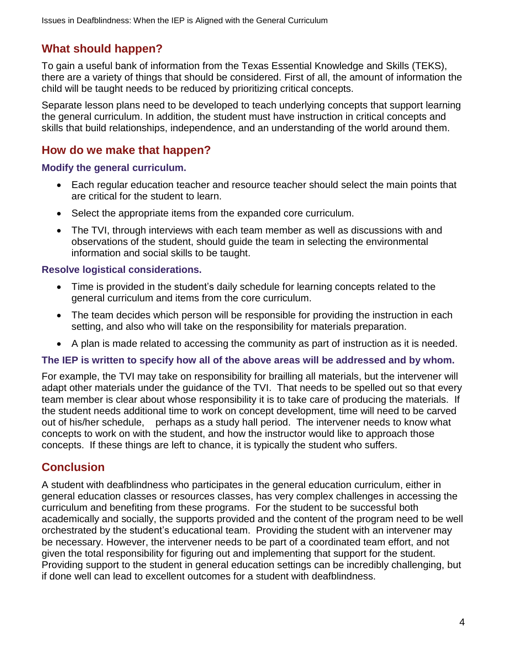# **What should happen?**

To gain a useful bank of information from the Texas Essential Knowledge and Skills (TEKS), there are a variety of things that should be considered. First of all, the amount of information the child will be taught needs to be reduced by prioritizing critical concepts.

Separate lesson plans need to be developed to teach underlying concepts that support learning the general curriculum. In addition, the student must have instruction in critical concepts and skills that build relationships, independence, and an understanding of the world around them.

## **How do we make that happen?**

**Modify the general curriculum.**

- Each regular education teacher and resource teacher should select the main points that are critical for the student to learn.
- Select the appropriate items from the expanded core curriculum.
- The TVI, through interviews with each team member as well as discussions with and observations of the student, should guide the team in selecting the environmental information and social skills to be taught.

### **Resolve logistical considerations.**

- Time is provided in the student's daily schedule for learning concepts related to the general curriculum and items from the core curriculum.
- The team decides which person will be responsible for providing the instruction in each setting, and also who will take on the responsibility for materials preparation.
- A plan is made related to accessing the community as part of instruction as it is needed.

## **The IEP is written to specify how all of the above areas will be addressed and by whom.**

For example, the TVI may take on responsibility for brailling all materials, but the intervener will adapt other materials under the guidance of the TVI. That needs to be spelled out so that every team member is clear about whose responsibility it is to take care of producing the materials. If the student needs additional time to work on concept development, time will need to be carved out of his/her schedule, perhaps as a study hall period. The intervener needs to know what concepts to work on with the student, and how the instructor would like to approach those concepts. If these things are left to chance, it is typically the student who suffers.

# **Conclusion**

A student with deafblindness who participates in the general education curriculum, either in general education classes or resources classes, has very complex challenges in accessing the curriculum and benefiting from these programs. For the student to be successful both academically and socially, the supports provided and the content of the program need to be well orchestrated by the student's educational team. Providing the student with an intervener may be necessary. However, the intervener needs to be part of a coordinated team effort, and not given the total responsibility for figuring out and implementing that support for the student. Providing support to the student in general education settings can be incredibly challenging, but if done well can lead to excellent outcomes for a student with deafblindness.